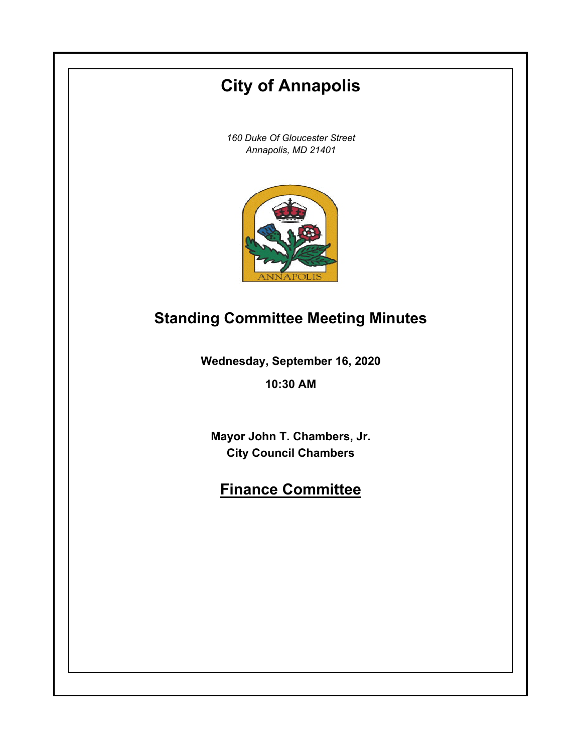# **City of Annapolis**

*160 Duke Of Gloucester Street Annapolis, MD 21401*



## **Standing Committee Meeting Minutes**

**Wednesday, September 16, 2020**

**10:30 AM**

**Mayor John T. Chambers, Jr. City Council Chambers**

## **Finance Committee**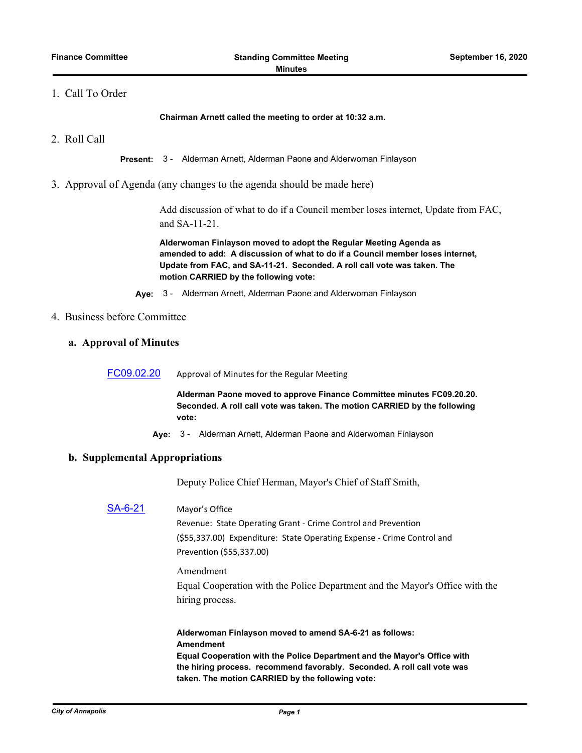## 1. Call To Order

**Chairman Arnett called the meeting to order at 10:32 a.m.**

2. Roll Call

**Present:** 3 - Alderman Arnett, Alderman Paone and Alderwoman Finlayson

3. Approval of Agenda (any changes to the agenda should be made here)

Add discussion of what to do if a Council member loses internet, Update from FAC, and SA-11-21.

**Alderwoman Finlayson moved to adopt the Regular Meeting Agenda as amended to add: A discussion of what to do if a Council member loses internet, Update from FAC, and SA-11-21. Seconded. A roll call vote was taken. The motion CARRIED by the following vote:**

**Aye:** 3 - Alderman Arnett, Alderman Paone and Alderwoman Finlayson

- 4. Business before Committee
	- **a. Approval of Minutes**

[FC09.02.20](http://annapolismd.legistar.com/gateway.aspx?m=l&id=/matter.aspx?key=4936) Approval of Minutes for the Regular Meeting

**Alderman Paone moved to approve Finance Committee minutes FC09.20.20. Seconded. A roll call vote was taken. The motion CARRIED by the following vote:**

**Aye:** 3 - Alderman Arnett, Alderman Paone and Alderwoman Finlayson

#### **b. Supplemental Appropriations**

Deputy Police Chief Herman, Mayor's Chief of Staff Smith,

## [SA-6-21](http://annapolismd.legistar.com/gateway.aspx?m=l&id=/matter.aspx?key=4896) Mayor's Office

Revenue: State Operating Grant - Crime Control and Prevention (\$55,337.00) Expenditure: State Operating Expense - Crime Control and Prevention (\$55,337.00)

Amendment

Equal Cooperation with the Police Department and the Mayor's Office with the hiring process.

**Alderwoman Finlayson moved to amend SA-6-21 as follows: Amendment Equal Cooperation with the Police Department and the Mayor's Office with the hiring process. recommend favorably. Seconded. A roll call vote was taken. The motion CARRIED by the following vote:**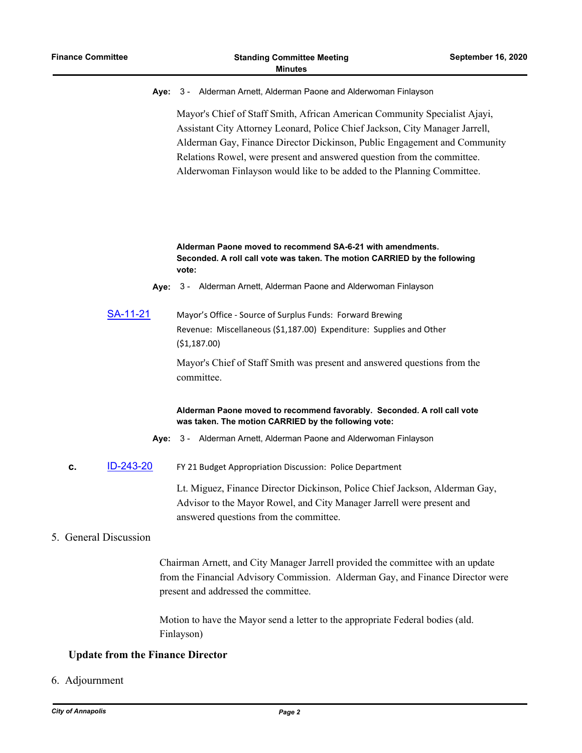**Aye:** 3 - Alderman Arnett, Alderman Paone and Alderwoman Finlayson

Mayor's Chief of Staff Smith, African American Community Specialist Ajayi, Assistant City Attorney Leonard, Police Chief Jackson, City Manager Jarrell, Alderman Gay, Finance Director Dickinson, Public Engagement and Community Relations Rowel, were present and answered question from the committee. Alderwoman Finlayson would like to be added to the Planning Committee.

### **Alderman Paone moved to recommend SA-6-21 with amendments. Seconded. A roll call vote was taken. The motion CARRIED by the following vote:**

- **Aye:** 3 Alderman Arnett, Alderman Paone and Alderwoman Finlayson
- [SA-11-21](http://annapolismd.legistar.com/gateway.aspx?m=l&id=/matter.aspx?key=4941) Mayor's Office Source of Surplus Funds: Forward Brewing Revenue: Miscellaneous (\$1,187.00) Expenditure: Supplies and Other (\$1,187.00)

Mayor's Chief of Staff Smith was present and answered questions from the committee.

#### **Alderman Paone moved to recommend favorably. Seconded. A roll call vote was taken. The motion CARRIED by the following vote:**

- **Aye:** 3 Alderman Arnett, Alderman Paone and Alderwoman Finlayson
- **c.** [ID-243-20](http://annapolismd.legistar.com/gateway.aspx?m=l&id=/matter.aspx?key=4937) FY 21 Budget Appropriation Discussion: Police Department

Lt. Miguez, Finance Director Dickinson, Police Chief Jackson, Alderman Gay, Advisor to the Mayor Rowel, and City Manager Jarrell were present and answered questions from the committee.

#### 5. General Discussion

Chairman Arnett, and City Manager Jarrell provided the committee with an update from the Financial Advisory Commission. Alderman Gay, and Finance Director were present and addressed the committee.

Motion to have the Mayor send a letter to the appropriate Federal bodies (ald. Finlayson)

### **Update from the Finance Director**

6. Adjournment